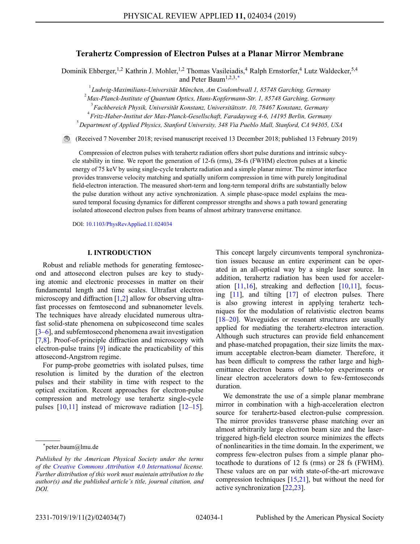# **Terahertz Compression of Electron Pulses at a Planar Mirror Membrane**

Dominik Ehberger,<sup>1,2</sup> Kathrin J. Mohler,<sup>1,2</sup> Thomas Vasileiadis,<sup>4</sup> Ralph Ernstorfer,<sup>4</sup> Lutz Waldecker,<sup>5,4</sup> and Peter Baum1,2,3[,\\*](#page-0-0)

1 *Ludwig-Maximilians-Universität München, Am Coulombwall 1, 85748 Garching, Germany*

2 *Max-Planck-Institute of Quantum Optics, Hans-Kopfermann-Str. 1, 85748 Garching, Germany*

4 *Fritz-Haber-Institut der Max-Planck-Gesellschaft, Faradayweg 4-6, 14195 Berlin, Germany*

5 *Department of Applied Physics, Stanford University, 348 Via Pueblo Mall, Stanford, CA 94305, USA*

(Received 7 November 2018; revised manuscript received 13 December 2018; published 13 February 2019)

Compression of electron pulses with terahertz radiation offers short pulse durations and intrinsic subcycle stability in time. We report the generation of 12-fs (rms), 28-fs (FWHM) electron pulses at a kinetic energy of 75 keV by using single-cycle terahertz radiation and a simple planar mirror. The mirror interface provides transverse velocity matching and spatially uniform compression in time with purely longitudinal field-electron interaction. The measured short-term and long-term temporal drifts are substantially below the pulse duration without any active synchronization. A simple phase-space model explains the measured temporal focusing dynamics for different compressor strengths and shows a path toward generating isolated attosecond electron pulses from beams of almost arbitrary transverse emittance.

DOI: [10.1103/PhysRevApplied.11.024034](http://dx.doi.org/10.1103/PhysRevApplied.11.024034)

## **I. INTRODUCTION**

Robust and reliable methods for generating femtosecond and attosecond electron pulses are key to studying atomic and electronic processes in matter on their fundamental length and time scales. Ultrafast electron microscopy and diffraction [\[1,](#page-4-0)[2\]](#page-4-1) allow for observing ultrafast processes on femtosecond and subnanometer levels. The techniques have already elucidated numerous ultrafast solid-state phenomena on subpicosecond time scales [\[3–](#page-4-2)[6\]](#page-5-0), and subfemtosecond phenomena await investigation [\[7,](#page-5-1)[8\]](#page-5-2). Proof-of-principle diffraction and microscopy with electron-pulse trains [\[9\]](#page-5-3) indicate the practicability of this attosecond-Angstrom regime.

For pump-probe geometries with isolated pulses, time resolution is limited by the duration of the electron pulses and their stability in time with respect to the optical excitation. Recent approaches for electron-pulse compression and metrology use terahertz single-cycle pulses [\[10,](#page-5-4)[11\]](#page-5-5) instead of microwave radiation [\[12](#page-5-6)[–15\]](#page-5-7). This concept largely circumvents temporal synchronization issues because an entire experiment can be operated in an all-optical way by a single laser source. In addition, terahertz radiation has been used for acceleration  $[11,16]$  $[11,16]$ , streaking and deflection  $[10,11]$  $[10,11]$ , focusing [\[11\]](#page-5-5), and tilting [\[17\]](#page-5-9) of electron pulses. There is also growing interest in applying terahertz techniques for the modulation of relativistic electron beams [\[18–](#page-5-10)[20\]](#page-5-11). Waveguides or resonant structures are usually applied for mediating the terahertz-electron interaction. Although such structures can provide field enhancement and phase-matched propagation, their size limits the maximum acceptable electron-beam diameter. Therefore, it has been difficult to compress the rather large and highemittance electron beams of table-top experiments or linear electron accelerators down to few-femtoseconds duration.

We demonstrate the use of a simple planar membrane mirror in combination with a high-acceleration electron source for terahertz-based electron-pulse compression. The mirror provides transverse phase matching over an almost arbitrarily large electron beam size and the lasertriggered high-field electron source minimizes the effects of nonlinearities in the time domain. In the experiment, we compress few-electron pulses from a simple planar photocathode to durations of 12 fs (rms) or 28 fs (FWHM). These values are on par with state-of-the-art microwave compression techniques [\[15](#page-5-7)[,21\]](#page-5-12), but without the need for active synchronization [\[22,](#page-5-13)[23\]](#page-5-14).

<sup>3</sup> *Fachbereich Physik, Universität Konstanz, Universitätsstr. 10, 78467 Konstanz, Germany*

<span id="page-0-0"></span><sup>\*</sup>peter.baum@lmu.de

*Published by the American Physical Society under the terms of the [Creative Commons Attribution 4.0 International](https://creativecommons.org/licenses/by/4.0/) license. Further distribution of this work must maintain attribution to the author(s) and the published article's title, journal citation, and DOI.*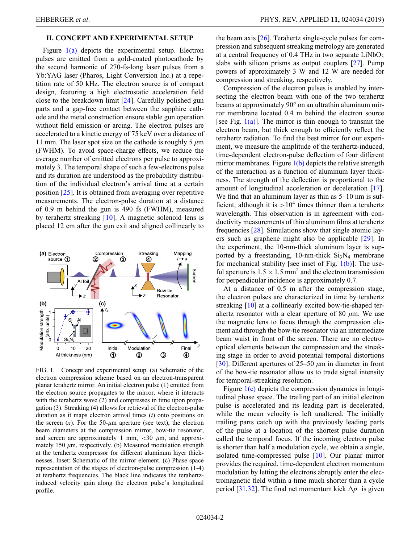# **II. CONCEPT AND EXPERIMENTAL SETUP**

Figure [1\(a\)](#page-1-0) depicts the experimental setup. Electron pulses are emitted from a gold-coated photocathode by the second harmonic of 270-fs-long laser pulses from a Yb:YAG laser (Pharos, Light Conversion Inc.) at a repetition rate of 50 kHz. The electron source is of compact design, featuring a high electrostatic acceleration field close to the breakdown limit [\[24\]](#page-5-15). Carefully polished gun parts and a gap-free contact between the sapphire cathode and the metal construction ensure stable gun operation without field emission or arcing. The electron pulses are accelerated to a kinetic energy of 75 keV over a distance of 11 mm. The laser spot size on the cathode is roughly 5 *µ*m (FWHM). To avoid space-charge effects, we reduce the average number of emitted electrons per pulse to approximately 3. The temporal shape of such a few-electrons pulse and its duration are understood as the probability distribution of the individual electron's arrival time at a certain position [\[25\]](#page-5-16). It is obtained from averaging over repetitive measurements. The electron-pulse duration at a distance of 0.9 m behind the gun is 490 fs (FWHM), measured by terahertz streaking [\[10\]](#page-5-4). A magnetic solenoid lens is placed 12 cm after the gun exit and aligned collinearly to

<span id="page-1-0"></span>

FIG. 1. Concept and experimental setup. (a) Schematic of the electron compression scheme based on an electron-transparent planar terahertz mirror. An initial electron pulse (1) emitted from the electron source propagates to the mirror, where it interacts with the terahertz wave  $(2)$  and compresses in time upon propagation (3). Streaking (4) allows for retrieval of the electron-pulse duration as it maps electron arrival times (*t*) onto positions on the screen  $(x)$ . For the 50- $\mu$ m aperture (see text), the electron beam diameters at the compression mirror, bow-tie resonator, and screen are approximately 1 mm,  $\lt 30 \mu$ m, and approximately 150  $\mu$ m, respectively. (b) Measured modulation strength at the terahertz compressor for different aluminum layer thicknesses. Inset: Schematic of the mirror element. (c) Phase space representation of the stages of electron-pulse compression (1-4) at terahertz frequencies. The black line indicates the terahertzinduced velocity gain along the electron pulse's longitudinal profile.

the beam axis [\[26\]](#page-5-17). Terahertz single-cycle pulses for compression and subsequent streaking metrology are generated at a central frequency of  $0.4$  THz in two separate LiNbO<sub>3</sub> slabs with silicon prisms as output couplers [\[27\]](#page-5-18). Pump powers of approximately 3 W and 12 W are needed for compression and streaking, respectively.

Compression of the electron pulses is enabled by intersecting the electron beam with one of the two terahertz beams at approximately 90° on an ultrathin aluminum mirror membrane located 0.4 m behind the electron source [see Fig.  $1(a)$ ]. The mirror is thin enough to transmit the electron beam, but thick enough to efficiently reflect the terahertz radiation. To find the best mirror for our experiment, we measure the amplitude of the terahertz-induced, time-dependent electron-pulse deflection of four different mirror membranes. Figure  $1(b)$  depicts the relative strength of the interaction as a function of aluminum layer thickness. The strength of the deflection is proportional to the amount of longitudinal acceleration or deceleration [\[17\]](#page-5-9). We find that an aluminum layer as thin as  $5-10$  nm is sufficient, although it is  $>10^4$  times thinner than a terahertz wavelength. This observation is in agreement with conductivity measurements of thin aluminum films at terahertz frequencies [\[28\]](#page-5-19). Simulations show that single atomic layers such as graphene might also be applicable [\[29\]](#page-5-20). In the experiment, the 10-nm-thick aluminum layer is supported by a freestanding, 10-nm-thick  $Si<sub>3</sub>N<sub>4</sub>$  membrane for mechanical stability [see inset of Fig.  $1(b)$ ]. The useful aperture is  $1.5 \times 1.5$  mm<sup>2</sup> and the electron transmission for perpendicular incidence is approximately 0.7.

At a distance of 0.5 m after the compression stage, the electron pulses are characterized in time by terahertz streaking [\[10\]](#page-5-4) at a collinearly excited bow-tie-shaped terahertz resonator with a clear aperture of 80 *µ*m. We use the magnetic lens to focus through the compression element and through the bow-tie resonator via an intermediate beam waist in front of the screen. There are no electrooptical elements between the compression and the streaking stage in order to avoid potential temporal distortions [\[30\]](#page-5-21). Different apertures of 25–50 *µ*m in diameter in front of the bow-tie resonator allow us to trade signal intensity for temporal-streaking resolution.

Figure  $1(c)$  depicts the compression dynamics in longitudinal phase space. The trailing part of an initial electron pulse is accelerated and its leading part is decelerated, while the mean velocity is left unaltered. The initially trailing parts catch up with the previously leading parts of the pulse at a location of the shortest pulse duration called the temporal focus. If the incoming electron pulse is shorter than half a modulation cycle, we obtain a single, isolated time-compressed pulse [\[10\]](#page-5-4). Our planar mirror provides the required, time-dependent electron momentum modulation by letting the electrons abruptly enter the electromagnetic field within a time much shorter than a cycle period [\[31,](#page-5-22)[32\]](#page-5-23). The final net momentum kick  $\Delta p$  is given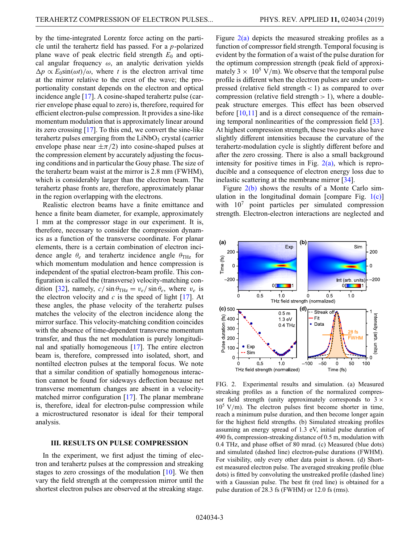by the time-integrated Lorentz force acting on the particle until the terahertz field has passed. For a *p*-polarized plane wave of peak electric field strength *E*<sup>0</sup> and optical angular frequency  $\omega$ , an analytic derivation yields  $\Delta p \propto E_0 \sin(\omega t) / \omega$ , where *t* is the electron arrival time at the mirror relative to the crest of the wave; the proportionality constant depends on the electron and optical incidence angle [\[17\]](#page-5-9). A cosine-shaped terahertz pulse (carrier envelope phase equal to zero) is, therefore, required for efficient electron-pulse compression. It provides a sine-like momentum modulation that is approximately linear around its zero crossing [\[17\]](#page-5-9). To this end, we convert the sine-like terahertz pulses emerging from the  $LiNbO<sub>3</sub>$  crystal (carrier envelope phase near  $\pm \pi/2$ ) into cosine-shaped pulses at the compression element by accurately adjusting the focusing conditions and in particular the Gouy phase. The size of the terahertz beam waist at the mirror is 2.8 mm (FWHM), which is considerably larger than the electron beam. The terahertz phase fronts are, therefore, approximately planar in the region overlapping with the electrons.

Realistic electron beams have a finite emittance and hence a finite beam diameter, for example, approximately 1 mm at the compressor stage in our experiment. It is, therefore, necessary to consider the compression dynamics as a function of the transverse coordinate. For planar elements, there is a certain combination of electron incidence angle  $\theta_e$  and terahertz incidence angle  $\theta_{\text{THz}}$  for which momentum modulation and hence compression is independent of the spatial electron-beam profile. This configuration is called the (transverse) velocity-matching con-dition [\[32\]](#page-5-23), namely,  $c/\sin\theta_{\text{THz}} = v_e/\sin\theta_e$ , where  $v_e$  is the electron velocity and  $c$  is the speed of light  $[17]$ . At these angles, the phase velocity of the terahertz pulses matches the velocity of the electron incidence along the mirror surface. This velocity-matching condition coincides with the absence of time-dependent transverse momentum transfer, and thus the net modulation is purely longitudinal and spatially homogeneous [\[17\]](#page-5-9). The entire electron beam is, therefore, compressed into isolated, short, and nontilted electron pulses at the temporal focus. We note that a similar condition of spatially homogenous interaction cannot be found for sideways deflection because net transverse momentum changes are absent in a velocitymatched mirror configuration [\[17\]](#page-5-9). The planar membrane is, therefore, ideal for electron-pulse compression while a microstructured resonator is ideal for their temporal analysis.

## **III. RESULTS ON PULSE COMPRESSION**

In the experiment, we first adjust the timing of electron and terahertz pulses at the compression and streaking stages to zero crossings of the modulation  $[10]$ . We then vary the field strength at the compression mirror until the shortest electron pulses are observed at the streaking stage. Figure  $2(a)$  depicts the measured streaking profiles as a function of compressor field strength. Temporal focusing is evident by the formation of a waist of the pulse duration for the optimum compression strength (peak field of approximately 3  $\times$  10<sup>5</sup> V/m). We observe that the temporal pulse profile is different when the electron pulses are under compressed (relative field strength  $<$  1) as compared to over compression (relative field strength  $> 1$ ), where a doublepeak structure emerges. This effect has been observed before [\[10](#page-5-4)[,11\]](#page-5-5) and is a direct consequence of the remaining temporal nonlinearities of the compression field [\[33\]](#page-5-24). At highest compression strength, these two peaks also have slightly different intensities because the curvature of the terahertz-modulation cycle is slightly different before and after the zero crossing. There is also a small background intensity for positive times in Fig.  $2(a)$ , which is reproducible and a consequence of electron energy loss due to inelastic scattering at the membrane mirror [\[34\]](#page-5-25).

Figure  $2(b)$  shows the results of a Monte Carlo simulation in the longitudinal domain [compare Fig.  $1(c)$ ] with  $10<sup>7</sup>$  point particles per simulated compression strength. Electron-electron interactions are neglected and

<span id="page-2-0"></span>

FIG. 2. Experimental results and simulation. (a) Measured streaking profiles as a function of the normalized compressor field strength (unity approximately corresponds to  $3 \times$  $10^5$  V/m). The electron pulses first become shorter in time, reach a minimum pulse duration, and then become longer again for the highest field strengths. (b) Simulated streaking profiles assuming an energy spread of 1.3 eV, initial pulse duration of 490 fs, compression-streaking distance of 0.5 m, modulation with 0.4 THz, and phase offset of 80 mrad. (c) Measured (blue dots) and simulated (dashed line) electron-pulse durations (FWHM). For visibility, only every other data point is shown. (d) Shortest measured electron pulse. The averaged streaking profile (blue dots) is fitted by convoluting the unstreaked profile (dashed line) with a Gaussian pulse. The best fit (red line) is obtained for a pulse duration of 28.3 fs (FWHM) or 12.0 fs (rms).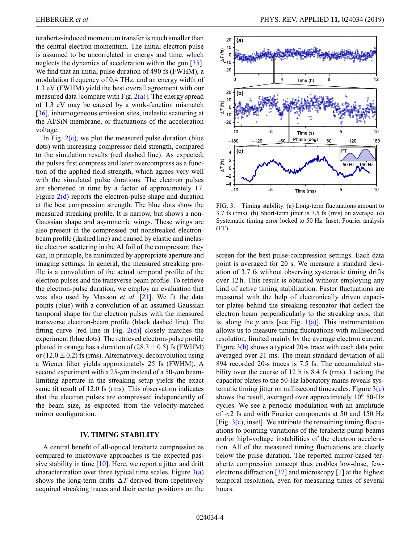terahertz-induced momentum transfer is much smaller than the central electron momentum. The initial electron pulse is assumed to be uncorrelated in energy and time, which neglects the dynamics of acceleration within the gun [\[35\]](#page-5-26). We find that an initial pulse duration of 490 fs (FWHM), a modulation frequency of 0.4 THz, and an energy width of 1.3 eV (FWHM) yield the best overall agreement with our measured data [compare with Fig.  $2(a)$ ]. The energy spread of 1.3 eV may be caused by a work-function mismatch [\[36\]](#page-5-27), inhomogeneous emission sites, inelastic scattering at the Al/SiN membrane, or fluctuations of the acceleration voltage.

In Fig.  $2(c)$ , we plot the measured pulse duration (blue dots) with increasing compressor field strength, compared to the simulation results (red dashed line). As expected, the pulses first compress and later overcompress as a function of the applied field strength, which agrees very well with the simulated pulse durations. The electron pulses are shortened in time by a factor of approximately 17. Figure  $2(d)$  reports the electron-pulse shape and duration at the best compression strength. The blue dots show the measured streaking profile. It is narrow, but shows a non-Gaussian shape and asymmetric wings. These wings are also present in the compressed but nonstreaked electronbeam profile (dashed line) and caused by elastic and inelastic electron scattering in the Al foil of the compressor; they can, in principle, be minimized by appropriate aperture and imaging settings. In general, the measured streaking profile is a convolution of the actual temporal profile of the electron pulses and the transverse beam profile. To retrieve the electron-pulse duration, we employ an evaluation that was also used by Maxson *et al*. [\[21\]](#page-5-12). We fit the data points (blue) with a convolution of an assumed Gaussian temporal shape for the electron pulses with the measured transverse electron-beam profile (black dashed line). The fitting curve [red line in Fig.  $2(d)$ ] closely matches the experiment (blue dots). The retrieved electron-pulse profile plotted in orange has a duration of  $(28.3 \pm 0.5)$  fs (FWHM) or  $(12.0 \pm 0.2)$  fs (rms). Alternatively, deconvolution using a Wiener filter yields approximately 25 fs (FWHM). A second experiment with a 25-*µ*m instead of a 50-*µ*m beamlimiting aperture in the streaking setup yields the exact same fit result of 12.0 fs (rms). This observation indicates that the electron pulses are compressed independently of the beam size, as expected from the velocity-matched mirror configuration.

### **IV. TIMING STABILITY**

A central benefit of all-optical terahertz compression as compared to microwave approaches is the expected passive stability in time  $[10]$ . Here, we report a jitter and drift characterization over three typical time scales. Figure  $3(a)$ shows the long-term drifts  $\Delta T$  derived from repetitively acquired streaking traces and their center positions on the

<span id="page-3-0"></span>

FIG. 3. Timing stability. (a) Long-term fluctuations amount to 3.7 fs (rms). (b) Short-term jitter is 7.5 fs (rms) on average. (c) Systematic timing error locked to 50 Hz. Inset: Fourier analysis (FT).

screen for the best pulse-compression settings. Each data point is averaged for 20 s. We measure a standard deviation of 3.7 fs without observing systematic timing drifts over 12 h. This result is obtained without employing any kind of active timing stabilization. Faster fluctuations are measured with the help of electronically driven capacitor plates behind the streaking resonator that deflect the electron beam perpendicularly to the streaking axis, that is, along the  $y$  axis [see Fig.  $1(a)$ ]. This instrumentation allows us to measure timing fluctuations with millisecond resolution, limited mainly by the average electron current. Figure [3\(b\)](#page-3-0) shows a typical 20-s trace with each data point averaged over 21 ms. The mean standard deviation of all 894 recorded 20-s traces is 7.5 fs. The accumulated stability over the course of 12 h is 8.4 fs (rms). Locking the capacitor plates to the 50-Hz laboratory mains reveals systematic timing jitter on millisecond timescales. Figure [3\(c\)](#page-3-0) shows the result, averaged over approximately  $10^6$  50-Hz cycles. We see a periodic modulation with an amplitude of <2 fs and with Fourier components at 50 and 150 Hz [Fig.  $3(c)$ , inset]. We attribute the remaining timing fluctuations to pointing variations of the terahertz-pump beams and/or high-voltage instabilities of the electron acceleration. All of the measured timing fluctuations are clearly below the pulse duration. The reported mirror-based terahertz compression concept thus enables low-dose, fewelectrons diffraction  $\left[37\right]$  and microscopy  $\left[1\right]$  at the highest temporal resolution, even for measuring times of several hours.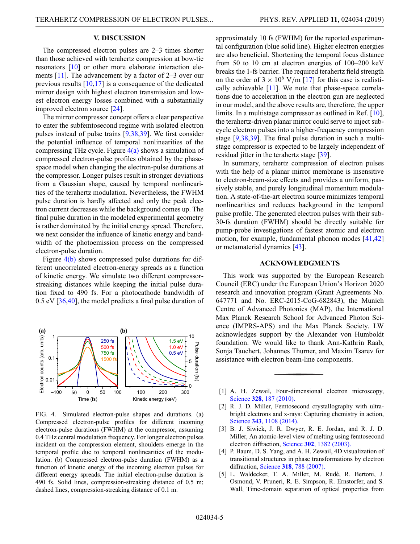# **V. DISCUSSION**

The compressed electron pulses are 2–3 times shorter than those achieved with terahertz compression at bow-tie resonators [\[10\]](#page-5-4) or other more elaborate interaction elements [\[11\]](#page-5-5). The advancement by a factor of 2–3 over our previous results [\[10](#page-5-4)[,17\]](#page-5-9) is a consequence of the dedicated mirror design with highest electron transmission and lowest electron energy losses combined with a substantially improved electron source [\[24\]](#page-5-15).

The mirror compressor concept offers a clear perspective to enter the subfemtosecond regime with isolated electron pulses instead of pulse trains [\[9](#page-5-3)[,38](#page-5-29)[,39\]](#page-5-30). We first consider the potential influence of temporal nonlinearities of the compressing THz cycle. Figure  $4(a)$  shows a simulation of compressed electron-pulse profiles obtained by the phasespace model when changing the electron-pulse durations at the compressor. Longer pulses result in stronger deviations from a Gaussian shape, caused by temporal nonlinearities of the terahertz modulation. Nevertheless, the FWHM pulse duration is hardly affected and only the peak electron current decreases while the background comes up. The final pulse duration in the modeled experimental geometry is rather dominated by the initial energy spread. Therefore, we next consider the influence of kinetic energy and bandwidth of the photoemission process on the compressed electron-pulse duration.

Figure [4\(b\)](#page-4-3) shows compressed pulse durations for different uncorrelated electron-energy spreads as a function of kinetic energy. We simulate two different compressorstreaking distances while keeping the initial pulse duration fixed to 490 fs. For a photocathode bandwidth of 0.5 eV [\[36,](#page-5-27)[40\]](#page-6-0), the model predicts a final pulse duration of

<span id="page-4-3"></span>

FIG. 4. Simulated electron-pulse shapes and durations. (a) Compressed electron-pulse profiles for different incoming electron-pulse durations (FWHM) at the compressor, assuming 0.4 THz central modulation frequency. For longer electron pulses incident on the compression element, shoulders emerge in the temporal profile due to temporal nonlinearities of the modulation. (b) Compressed electron-pulse duration (FWHM) as a function of kinetic energy of the incoming electron pulses for different energy spreads. The initial electron-pulse duration is 490 fs. Solid lines, compression-streaking distance of 0.5 m; dashed lines, compression-streaking distance of 0.1 m.

approximately 10 fs (FWHM) for the reported experimental configuration (blue solid line). Higher electron energies are also beneficial. Shortening the temporal focus distance from 50 to 10 cm at electron energies of 100–200 keV breaks the 1-fs barrier. The required terahertz field strength on the order of  $3 \times 10^6$  V/m [\[17\]](#page-5-9) for this case is realistically achievable [\[11\]](#page-5-5). We note that phase-space correlations due to acceleration in the electron gun are neglected in our model, and the above results are, therefore, the upper limits. In a multistage compressor as outlined in Ref. [\[10\]](#page-5-4), the terahertz-driven planar mirror could serve to inject subcycle electron pulses into a higher-frequency compression stage [\[9](#page-5-3)[,38](#page-5-29)[,39\]](#page-5-30). The final pulse duration in such a multistage compressor is expected to be largely independent of residual jitter in the terahertz stage [\[39\]](#page-5-30).

In summary, terahertz compression of electron pulses with the help of a planar mirror membrane is insensitive to electron-beam-size effects and provides a uniform, passively stable, and purely longitudinal momentum modulation. A state-of-the-art electron source minimizes temporal nonlinearities and reduces background in the temporal pulse profile. The generated electron pulses with their sub-30-fs duration (FWHM) should be directly suitable for pump-probe investigations of fastest atomic and electron motion, for example, fundamental phonon modes [\[41](#page-6-1)[,42\]](#page-6-2) or metamaterial dynamics [\[43\]](#page-6-3).

### **ACKNOWLEDGMENTS**

This work was supported by the European Research Council (ERC) under the European Union's Horizon 2020 research and innovation program (Grant Agreements No. 647771 and No. ERC-2015-CoG-682843), the Munich Centre of Advanced Photonics (MAP), the International Max Planck Research School for Advanced Photon Science (IMPRS-APS) and the Max Planck Society. LW acknowledges support by the Alexander von Humboldt foundation. We would like to thank Ann-Kathrin Raab, Sonja Tauchert, Johannes Thurner, and Maxim Tsarev for assistance with electron beam-line components.

- <span id="page-4-0"></span>[1] A. H. Zewail, Four-dimensional electron microscopy, Science **328**[, 187 \(2010\).](https://doi.org/10.1126/science.1166135)
- <span id="page-4-1"></span>[2] R. J. D. Miller, Femtosecond crystallography with ultrabright electrons and x-rays: Capturing chemistry in action, Science **343**[, 1108 \(2014\).](https://doi.org/10.1126/science.1248488)
- <span id="page-4-2"></span>[3] B. J. Siwick, J. R. Dwyer, R. E. Jordan, and R. J. D. Miller, An atomic-level view of melting using femtosecond electron diffraction, Science **302**[, 1382 \(2003\).](https://doi.org/10.1126/science.1090052)
- [4] P. Baum, D. S. Yang, and A. H. Zewail, 4D visualization of transitional structures in phase transformations by electron diffraction, Science **318**[, 788 \(2007\).](https://doi.org/10.1126/science.1147724)
- [5] L. Waldecker, T. A. Miller, M. Rudé, R. Bertoni, J. Osmond, V. Pruneri, R. E. Simpson, R. Ernstorfer, and S. Wall, Time-domain separation of optical properties from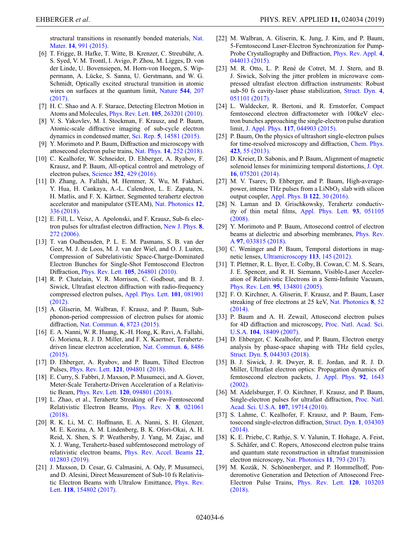[structural transitions in resonantly bonded materials,](https://doi.org/10.1038/nmat4359) Nat. Mater. **14**, 991 (2015).

- <span id="page-5-0"></span>[6] T. Frigge, B. Hafke, T. Witte, B. Krenzer, C. Streubühr, A. S. Syed, V. M. Trontl, I. Avigo, P. Zhou, M. Ligges, D. von der Linde, U. Bovensiepen, M. Horn-von Hoegen, S. Wippermann, A. Lücke, S. Sanna, U. Gerstmann, and W. G. Schmidt, Optically excited structural transition in atomic [wires on surfaces at the quantum limit,](https://doi.org/10.1038/nature21432) Nature **544**, 207 (2017).
- <span id="page-5-1"></span>[7] H. C. Shao and A. F. Starace, Detecting Electron Motion in Atoms and Molecules, Phys. Rev. Lett. **105**[, 263201 \(2010\).](https://doi.org/10.1103/PhysRevLett.105.263201)
- <span id="page-5-2"></span>[8] V. S. Yakovlev, M. I. Stockman, F. Krausz, and P. Baum, Atomic-scale diffractive imaging of sub-cycle electron dynamics in condensed matter, Sci. Rep. **5**[, 14581 \(2015\).](https://doi.org/10.1038/srep14581)
- <span id="page-5-3"></span>[9] Y. Morimoto and P. Baum, Diffraction and microscopy with attosecond electron pulse trains, Nat. Phys. **14**[, 252 \(2018\).](https://doi.org/10.1038/s41567-017-0007-6)
- <span id="page-5-4"></span>[10] C. Kealhofer, W. Schneider, D. Ehberger, A. Ryabov, F. Krausz, and P. Baum, All-optical control and metrology of electron pulses, Science **352**[, 429 \(2016\).](https://doi.org/10.1126/science.aae0003)
- <span id="page-5-5"></span>[11] D. Zhang, A. Fallahi, M. Hemmer, X. Wu, M. Fakhari, Y. Hua, H. Cankaya, A.-L. Calendron, L. E. Zapata, N. H. Matlis, and F. X. Kärtner, Segmented terahertz electron [accelerator and manipulator \(STEAM\),](https://doi.org/10.1038/s41566-018-0138-z) Nat. Photonics **12**, 336 (2018).
- <span id="page-5-6"></span>[12] E. Fill, L. Veisz, A. Apolonski, and F. Krausz, Sub-fs elec[tron pulses for ultrafast electron diffraction,](https://doi.org/10.1088/1367-2630/8/11/272) New J. Phys. **8**, 272 (2006).
- [13] T. van Oudheusden, P. L. E. M. Pasmans, S. B. van der Geer, M. J. de Loos, M. J. van der Wiel, and O. J. Luiten, Compression of Subrelativistic Space-Charge-Dominated Electron Bunches for Single-Shot Femtosecond Electron Diffraction, Phys. Rev. Lett. **105**[, 264801 \(2010\).](https://doi.org/10.1103/PhysRevLett.105.264801)
- [14] R. P. Chatelain, V. R. Morrison, C. Godbout, and B. J. Siwick, Ultrafast electron diffraction with radio-frequency [compressed electron pulses,](https://doi.org/10.1063/1.4747155) Appl. Phys. Lett. **101**, 081901 (2012).
- <span id="page-5-7"></span>[15] A. Gliserin, M. Walbran, F. Krausz, and P. Baum, Subphonon-period compression of electron pulses for atomic diffraction, [Nat. Commun.](https://doi.org/10.1038/ncomms9723) **6**, 8723 (2015).
- <span id="page-5-8"></span>[16] E. A. Nanni, W. R. Huang, K.-H. Hong, K. Ravi, A. Fallahi, G. Moriena, R. J. D. Miller, and F. X. Kaertner, Terahertz[driven linear electron acceleration,](https://doi.org/10.1038/ncomms9486) Nat. Commun. **6**, 8486 (2015).
- <span id="page-5-9"></span>[17] D. Ehberger, A. Ryabov, and P. Baum, Tilted Electron Pulses, Phys. Rev. Lett. **121**[, 094801 \(2018\).](https://doi.org/10.1103/PhysRevLett.121.094801)
- <span id="page-5-10"></span>[18] E. Curry, S. Fabbri, J. Maxson, P. Musumeci, and A. Gover, Meter-Scale Terahertz-Driven Acceleration of a Relativistic Beam, Phys. Rev. Lett. **120**[, 094801 \(2018\).](https://doi.org/10.1103/PhysRevLett.120.094801)
- [19] L. Zhao, et al., Terahertz Streaking of Few-Femtosecond [Relativistic Electron Beams,](https://doi.org/10.1103/physrevx.8.021061) Phys. Rev. X **8**, 021061 (2018).
- <span id="page-5-11"></span>[20] R. K. Li, M. C. Hoffmann, E. A. Nanni, S. H. Glenzer, M. E. Kozina, A. M. Lindenberg, B. K. Ofori-Okai, A. H. Reid, X. Shen, S. P. Weathersby, J. Yang, M. Zajac, and X. J. Wang, Terahertz-based subfemtosecond metrology of [relativistic electron beams,](https://doi.org/10.1103/PhysRevAccelBeams.22.012803) Phys. Rev. Accel. Beams **22**, 012803 (2019).
- <span id="page-5-12"></span>[21] J. Maxson, D. Cesar, G. Calmasini, A. Ody, P. Musumeci, and D. Alesini, Direct Measurement of Sub-10 fs Relativis[tic Electron Beams with Ultralow Emittance,](https://doi.org/10.1103/PhysRevLett.118.154802) Phys. Rev. Lett. **118**, 154802 (2017).
- <span id="page-5-13"></span>[22] M. Walbran, A. Gliserin, K. Jung, J. Kim, and P. Baum, 5-Femtosecond Laser-Electron Synchronization for Pump-[Probe Crystallography and Diffraction,](https://doi.org/10.1103/PhysRevApplied.4.044013) Phys. Rev. Appl. **4**, 044013 (2015).
- <span id="page-5-14"></span>[23] M. R. Otto, L. P. René de Cotret, M. J. Stern, and B. J. Siwick, Solving the jitter problem in microwave compressed ultrafast electron diffraction instruments: Robust [sub-50 fs cavity-laser phase stabilization,](https://doi.org/10.1063/1.4989960) Struct. Dyn. **4**, 051101 (2017).
- <span id="page-5-15"></span>[24] L. Waldecker, R. Bertoni, and R. Ernstorfer, Compact femtosecond electron diffractometer with 100keV electron bunches approaching the single-electron pulse duration limit, J. Appl. Phys. **117**[, 044903 \(2015\).](https://doi.org/10.1063/1.4906786)
- <span id="page-5-16"></span>[25] P. Baum, On the physics of ultrashort single-electron pulses [for time-resolved microscopy and diffraction,](https://doi.org/10.1016/j.chemphys.2013.06.012) Chem. Phys. **423**, 55 (2013).
- <span id="page-5-17"></span>[26] D. Kreier, D. Sabonis, and P. Baum, Alignment of magnetic [solenoid lenses for minimizing temporal distortions,](https://doi.org/10.1088/2040-8978/16/7/075201) J. Opt. **16**, 075201 (2014).
- <span id="page-5-18"></span>[27] M. V. Tsarev, D. Ehberger, and P. Baum, High-averagepower, intense THz pulses from a LiNbO<sub>3</sub> slab with silicon output coupler, [Appl. Phys. B](https://doi.org/10.1007/s00340-015-6315-6) **122**, 30 (2016).
- <span id="page-5-19"></span>[28] N. Laman and D. Grischkowsky, Terahertz conductiv[ity of thin metal films,](https://doi.org/10.1063/1.2968308) Appl. Phys. Lett. **93**, 051105 (2008).
- <span id="page-5-20"></span>[29] Y. Morimoto and P. Baum, Attosecond control of electron [beams at dielectric and absorbing membranes,](https://doi.org/10.1103/PhysRevA.97.033815) Phys. Rev. A **97**, 033815 (2018).
- <span id="page-5-21"></span>[30] C. Weninger and P. Baum, Temporal distortions in magnetic lenses, [Ultramicroscopy](https://doi.org/10.1016/j.ultramic.2011.11.018) **113**, 145 (2012).
- <span id="page-5-22"></span>[31] T. Plettner, R. L. Byer, E. Colby, B. Cowan, C. M. S. Sears, J. E. Spencer, and R. H. Siemann, Visible-Laser Acceleration of Relativistic Electrons in a Semi-Infinite Vacuum, Phys. Rev. Lett. **95**[, 134801 \(2005\).](https://doi.org/10.1103/PhysRevLett.95.134801)
- <span id="page-5-23"></span>[32] F. O. Kirchner, A. Gliserin, F. Krausz, and P. Baum, Laser [streaking of free electrons at 25 keV,](https://doi.org/10.1038/nphoton.2013.315) Nat. Photonics **8**, 52 (2014).
- <span id="page-5-24"></span>[33] P. Baum and A. H. Zewail, Attosecond electron pulses [for 4D diffraction and microscopy,](https://doi.org/10.1073/pnas.0709019104) Proc. Natl. Acad. Sci. U.S.A. **104**, 18409 (2007).
- <span id="page-5-25"></span>[34] D. Ehberger, C. Kealhofer, and P. Baum, Electron energy analysis by phase-space shaping with THz field cycles, Struct. Dyn. **5**[, 044303 \(2018\).](https://doi.org/10.1063/1.5045167)
- <span id="page-5-26"></span>[35] B. J. Siwick, J. R. Dwyer, R. E. Jordan, and R. J. D. Miller, Ultrafast electron optics: Propagation dynamics of [femtosecond electron packets,](https://doi.org/10.1063/1.1487437) J. Appl. Phys. **92**, 1643 (2002).
- <span id="page-5-27"></span>[36] M. Aidelsburger, F. O. Kirchner, F. Krausz, and P. Baum, [Single-electron pulses for ultrafast diffraction,](https://doi.org/10.1073/pnas.1010165107) Proc. Natl. Acad. Sci. U.S.A. **107**, 19714 (2010).
- <span id="page-5-28"></span>[37] S. Lahme, C. Kealhofer, F. Krausz, and P. Baum, Fem[tosecond single-electron diffraction,](https://doi.org/10.1063/1.4884937) Struct. Dyn. **1**, 034303  $(2014)$
- <span id="page-5-29"></span>[38] K. E. Priebe, C. Rathje, S. V. Yalunin, T. Hohage, A. Feist, S. Schäfer, and C. Ropers, Attosecond electron pulse trains and quantum state reconstruction in ultrafast transmission electron microscopy, [Nat. Photonics](https://doi.org/10.1038/s41566-017-0045-8) **11**, 793 (2017).
- <span id="page-5-30"></span>[39] M. Kozák, N. Schönenberger, and P. Hommelhoff, Ponderomotive Generation and Detection of Attosecond Free-[Electron Pulse Trains,](https://doi.org/10.1103/PhysRevLett.120.103203) Phys. Rev. Lett. **120**, 103203 (2018).